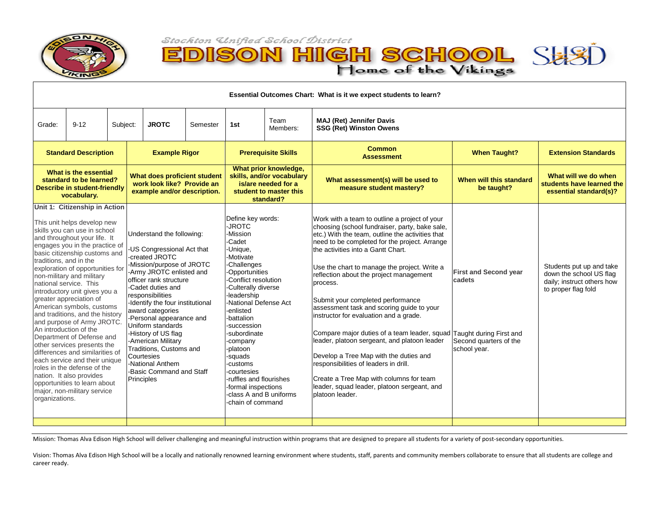

Ξ

D)

**ISON HIGH SCHOOL** SH

| Essential Outcomes Chart: What is it we expect students to learn?                                                                                                                                                                                                                                                                                                                                                                                                                                                                                                                                                                                                                                                                                                                    |          |          |                                                                                                                                                                                                                                                                                                                                                                                                                                                                    |          |                                                                                                                                                                                                                                                                                                                                                                                                                              |                                                                                                                  |                                                                                                                                                                                                                                                                                                                                                                                                                                                                                                                                                                                                                                                                                                                                                                                                       |                                                                                  |                                                                                                          |
|--------------------------------------------------------------------------------------------------------------------------------------------------------------------------------------------------------------------------------------------------------------------------------------------------------------------------------------------------------------------------------------------------------------------------------------------------------------------------------------------------------------------------------------------------------------------------------------------------------------------------------------------------------------------------------------------------------------------------------------------------------------------------------------|----------|----------|--------------------------------------------------------------------------------------------------------------------------------------------------------------------------------------------------------------------------------------------------------------------------------------------------------------------------------------------------------------------------------------------------------------------------------------------------------------------|----------|------------------------------------------------------------------------------------------------------------------------------------------------------------------------------------------------------------------------------------------------------------------------------------------------------------------------------------------------------------------------------------------------------------------------------|------------------------------------------------------------------------------------------------------------------|-------------------------------------------------------------------------------------------------------------------------------------------------------------------------------------------------------------------------------------------------------------------------------------------------------------------------------------------------------------------------------------------------------------------------------------------------------------------------------------------------------------------------------------------------------------------------------------------------------------------------------------------------------------------------------------------------------------------------------------------------------------------------------------------------------|----------------------------------------------------------------------------------|----------------------------------------------------------------------------------------------------------|
| Grade:                                                                                                                                                                                                                                                                                                                                                                                                                                                                                                                                                                                                                                                                                                                                                                               | $9 - 12$ | Subject: | <b>JROTC</b>                                                                                                                                                                                                                                                                                                                                                                                                                                                       | Semester | 1st                                                                                                                                                                                                                                                                                                                                                                                                                          | Team<br>Members:                                                                                                 | <b>MAJ (Ret) Jennifer Davis</b><br><b>SSG (Ret) Winston Owens</b>                                                                                                                                                                                                                                                                                                                                                                                                                                                                                                                                                                                                                                                                                                                                     |                                                                                  |                                                                                                          |
| <b>Standard Description</b>                                                                                                                                                                                                                                                                                                                                                                                                                                                                                                                                                                                                                                                                                                                                                          |          |          | <b>Example Rigor</b>                                                                                                                                                                                                                                                                                                                                                                                                                                               |          | <b>Prerequisite Skills</b>                                                                                                                                                                                                                                                                                                                                                                                                   |                                                                                                                  | <b>Common</b><br><b>Assessment</b>                                                                                                                                                                                                                                                                                                                                                                                                                                                                                                                                                                                                                                                                                                                                                                    | <b>When Taught?</b>                                                              | <b>Extension Standards</b>                                                                               |
| What is the essential<br>standard to be learned?<br>Describe in student-friendly<br>vocabulary.                                                                                                                                                                                                                                                                                                                                                                                                                                                                                                                                                                                                                                                                                      |          |          | What does proficient student<br>work look like? Provide an<br>example and/or description.                                                                                                                                                                                                                                                                                                                                                                          |          |                                                                                                                                                                                                                                                                                                                                                                                                                              | What prior knowledge,<br>skills, and/or vocabulary<br>is/are needed for a<br>student to master this<br>standard? | What assessment(s) will be used to<br>measure student mastery?                                                                                                                                                                                                                                                                                                                                                                                                                                                                                                                                                                                                                                                                                                                                        | When will this standard<br>be taught?                                            | What will we do when<br>students have learned the<br>essential standard(s)?                              |
| Unit 1: Citizenship in Action<br>This unit helps develop new<br>skills you can use in school<br>and throughout your life. It<br>engages you in the practice of<br>basic citizenship customs and<br>traditions, and in the<br>exploration of opportunities for<br>non-military and military<br>national service. This<br>introductory unit gives you a<br>greater appreciation of<br>American symbols, customs<br>and traditions, and the history<br>and purpose of Army JROTC.<br>An introduction of the<br>Department of Defense and<br>other services presents the<br>differences and similarities of<br>each service and their unique<br>roles in the defense of the<br>nation. It also provides<br>opportunities to learn about<br>major, non-military service<br>organizations. |          |          | Understand the following:<br>-US Congressional Act that<br>-created JROTC<br>-Mission/purpose of JROTC<br>-Army JROTC enlisted and<br>officer rank structure<br>-Cadet duties and<br>responsibilities<br>-Identify the four institutional<br>award categories<br>-Personal appearance and<br>Uniform standards<br>-History of US flag<br>-American Military<br>Traditions, Customs and<br>Courtesies<br>-National Anthem<br>-Basic Command and Staff<br>Principles |          | Define key words:<br>-JROTC<br>-Mission<br>-Cadet<br>-Unique,<br>-Motivate<br>-Challenges<br>-Opportunities<br>-Conflict resolution<br>-Culterally diverse<br>-leadership<br>-National Defense Act<br>-enlisted<br>-battalion<br>-succession<br>-subordinate<br>-company<br>-platoon<br>-squads<br>-customs<br>-courtesies<br>-ruffles and flourishes<br>-formal inspections<br>-class A and B uniforms<br>-chain of command |                                                                                                                  | Work with a team to outline a project of your<br>choosing (school fundraiser, party, bake sale,<br>etc.) With the team, outline the activities that<br>need to be completed for the project. Arrange<br>the activities into a Gantt Chart.<br>Use the chart to manage the project. Write a<br>reflection about the project management<br>process.<br>Submit your completed performance<br>assessment task and scoring guide to your<br>instructor for evaluation and a grade.<br>Compare major duties of a team leader, squad Taught during First and<br>leader, platoon sergeant, and platoon leader<br>Develop a Tree Map with the duties and<br>responsibilities of leaders in drill.<br>Create a Tree Map with columns for team<br>leader, squad leader, platoon sergeant, and<br>platoon leader. | <b>First and Second year</b><br>cadets<br>Second quarters of the<br>school year. | Students put up and take<br>down the school US flag<br>daily; instruct others how<br>to proper flag fold |

Mission: Thomas Alva Edison High School will deliver challenging and meaningful instruction within programs that are designed to prepare all students for a variety of post-secondary opportunities.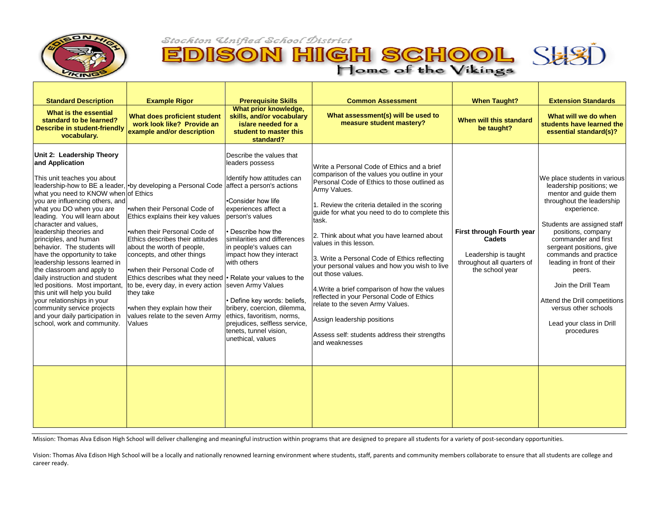

EDISON HIGH SCHOOL SHSD



| <b>Standard Description</b><br>What is the essential                                                                                                                                                                                                                                                                                                                                                                                                                                                                                                                                                                                                             | <b>Example Rigor</b>                                                                                                                                                                                                                                                                                                                                                                                                                                              | <b>Prerequisite Skills</b><br>What prior knowledge,                                                                                                                                                                                                                                                                                                                                                                                                                                                                             | <b>Common Assessment</b>                                                                                                                                                                                                                                                                                                                                                                                                                                                                                                                                                                                                                                                                                     | <b>When Taught?</b>                                                                                          | <b>Extension Standards</b>                                                                                                                                                                                                                                                                                                                                                                                                      |
|------------------------------------------------------------------------------------------------------------------------------------------------------------------------------------------------------------------------------------------------------------------------------------------------------------------------------------------------------------------------------------------------------------------------------------------------------------------------------------------------------------------------------------------------------------------------------------------------------------------------------------------------------------------|-------------------------------------------------------------------------------------------------------------------------------------------------------------------------------------------------------------------------------------------------------------------------------------------------------------------------------------------------------------------------------------------------------------------------------------------------------------------|---------------------------------------------------------------------------------------------------------------------------------------------------------------------------------------------------------------------------------------------------------------------------------------------------------------------------------------------------------------------------------------------------------------------------------------------------------------------------------------------------------------------------------|--------------------------------------------------------------------------------------------------------------------------------------------------------------------------------------------------------------------------------------------------------------------------------------------------------------------------------------------------------------------------------------------------------------------------------------------------------------------------------------------------------------------------------------------------------------------------------------------------------------------------------------------------------------------------------------------------------------|--------------------------------------------------------------------------------------------------------------|---------------------------------------------------------------------------------------------------------------------------------------------------------------------------------------------------------------------------------------------------------------------------------------------------------------------------------------------------------------------------------------------------------------------------------|
| standard to be learned?<br><b>Describe in student-friendly</b><br>vocabulary.                                                                                                                                                                                                                                                                                                                                                                                                                                                                                                                                                                                    | What does proficient student<br>work look like? Provide an<br>example and/or description                                                                                                                                                                                                                                                                                                                                                                          | skills, and/or vocabulary<br>is/are needed for a<br>student to master this<br>standard?                                                                                                                                                                                                                                                                                                                                                                                                                                         | What assessment(s) will be used to<br>measure student mastery?                                                                                                                                                                                                                                                                                                                                                                                                                                                                                                                                                                                                                                               | When will this standard<br>be taught?                                                                        | What will we do when<br>students have learned the<br>essential standard(s)?                                                                                                                                                                                                                                                                                                                                                     |
| Unit 2: Leadership Theory<br>and Application<br>This unit teaches you about<br>what you need to KNOW when of Ethics<br>vou are influencing others, and<br>what you DO when you are<br>leading. You will learn about<br>character and values,<br>leadership theories and<br>principles, and human<br>behavior. The students will<br>have the opportunity to take<br>leadership lessons learned in<br>the classroom and apply to<br>daily instruction and student<br>led positions. Most important,<br>this unit will help you build<br>your relationships in your<br>community service projects<br>and your daily participation in<br>school, work and community. | leadership-how to BE a leader, •by developing a Personal Code<br>when their Personal Code of<br>Ethics explains their key values<br>when their Personal Code of<br>Ethics describes their attitudes<br>about the worth of people,<br>concepts, and other things<br>.when their Personal Code of<br>Ethics describes what they need<br>to be, every day, in every action<br>they take<br>•when they explain how their<br>values relate to the seven Army<br>Values | Describe the values that<br>leaders possess<br>Identify how attitudes can<br>affect a person's actions<br>.Consider how life<br>experiences affect a<br>person's values<br>Describe how the<br>similarities and differences<br>in people's values can<br>impact how they interact<br>with others<br>• Relate your values to the<br>seven Army Values<br>Define key words: beliefs,<br>bribery, coercion, dilemma,<br>ethics, favoritism, norms,<br>prejudices, selfless service,<br>tenets, tunnel vision,<br>unethical, values | Write a Personal Code of Ethics and a brief<br>comparison of the values you outline in your<br>Personal Code of Ethics to those outlined as<br>Army Values.<br>1. Review the criteria detailed in the scoring<br>guide for what you need to do to complete this<br>task.<br>2. Think about what you have learned about<br>values in this lesson.<br>3. Write a Personal Code of Ethics reflecting<br>your personal values and how you wish to live<br>out those values.<br>4. Write a brief comparison of how the values<br>reflected in your Personal Code of Ethics<br>relate to the seven Army Values.<br>Assign leadership positions<br>Assess self: students address their strengths<br>land weaknesses | First through Fourth year<br>Cadets<br>Leadership is taught<br>throughout all quarters of<br>the school year | We place students in various<br>leadership positions; we<br>mentor and quide them<br>throughout the leadership<br>experience.<br>Students are assigned staff<br>positions, company<br>commander and first<br>sergeant positions, give<br>commands and practice<br>leading in front of their<br>peers.<br>Join the Drill Team<br>Attend the Drill competitions<br>versus other schools<br>Lead your class in Drill<br>procedures |
|                                                                                                                                                                                                                                                                                                                                                                                                                                                                                                                                                                                                                                                                  |                                                                                                                                                                                                                                                                                                                                                                                                                                                                   |                                                                                                                                                                                                                                                                                                                                                                                                                                                                                                                                 |                                                                                                                                                                                                                                                                                                                                                                                                                                                                                                                                                                                                                                                                                                              |                                                                                                              |                                                                                                                                                                                                                                                                                                                                                                                                                                 |

Mission: Thomas Alva Edison High School will deliver challenging and meaningful instruction within programs that are designed to prepare all students for a variety of post-secondary opportunities.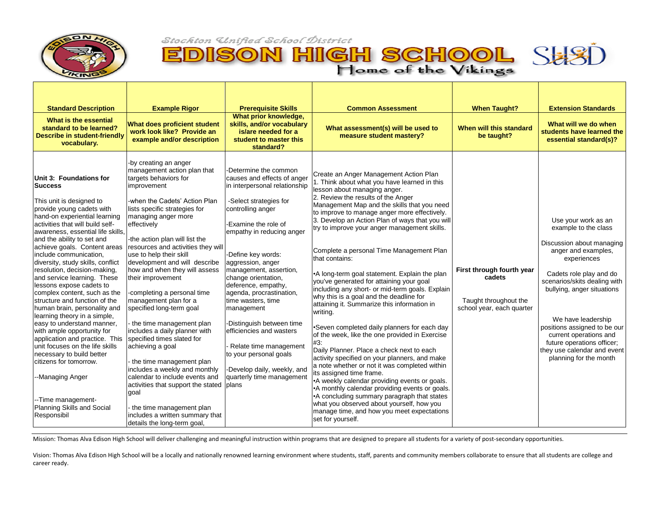



| <b>Standard Description</b>                                                                                                                                                                                                                                                                                                                                                                                                                                                                                                                                                                                                                                                                                                                                                                                                | <b>Example Rigor</b>                                                                                                                                                                                                                                                                                                                                                                                                                                                                                                                                                                                                                                                                                                                                                                                                                                                     | <b>Prerequisite Skills</b>                                                                                                                                                                                                                                                                                                                                                                                                                                                                                                                                     | <b>Common Assessment</b>                                                                                                                                                                                                                                                                                                                                                                                                                                                                                                                                                                                                                                                                                                                                                                                                                                                                                                                                                                                                                                                                                                                                                                                                                | <b>When Taught?</b>                                                                       | <b>Extension Standards</b>                                                                                                                                                                                                                                                                                                                                                     |
|----------------------------------------------------------------------------------------------------------------------------------------------------------------------------------------------------------------------------------------------------------------------------------------------------------------------------------------------------------------------------------------------------------------------------------------------------------------------------------------------------------------------------------------------------------------------------------------------------------------------------------------------------------------------------------------------------------------------------------------------------------------------------------------------------------------------------|--------------------------------------------------------------------------------------------------------------------------------------------------------------------------------------------------------------------------------------------------------------------------------------------------------------------------------------------------------------------------------------------------------------------------------------------------------------------------------------------------------------------------------------------------------------------------------------------------------------------------------------------------------------------------------------------------------------------------------------------------------------------------------------------------------------------------------------------------------------------------|----------------------------------------------------------------------------------------------------------------------------------------------------------------------------------------------------------------------------------------------------------------------------------------------------------------------------------------------------------------------------------------------------------------------------------------------------------------------------------------------------------------------------------------------------------------|-----------------------------------------------------------------------------------------------------------------------------------------------------------------------------------------------------------------------------------------------------------------------------------------------------------------------------------------------------------------------------------------------------------------------------------------------------------------------------------------------------------------------------------------------------------------------------------------------------------------------------------------------------------------------------------------------------------------------------------------------------------------------------------------------------------------------------------------------------------------------------------------------------------------------------------------------------------------------------------------------------------------------------------------------------------------------------------------------------------------------------------------------------------------------------------------------------------------------------------------|-------------------------------------------------------------------------------------------|--------------------------------------------------------------------------------------------------------------------------------------------------------------------------------------------------------------------------------------------------------------------------------------------------------------------------------------------------------------------------------|
| What is the essential<br>standard to be learned?<br><b>Describe in student-friendly</b><br>vocabulary.                                                                                                                                                                                                                                                                                                                                                                                                                                                                                                                                                                                                                                                                                                                     | <b>What does proficient student</b><br>work look like? Provide an<br>example and/or description                                                                                                                                                                                                                                                                                                                                                                                                                                                                                                                                                                                                                                                                                                                                                                          | What prior knowledge,<br>skills, and/or vocabulary<br>is/are needed for a<br>student to master this<br>standard?                                                                                                                                                                                                                                                                                                                                                                                                                                               | What assessment(s) will be used to<br>measure student mastery?                                                                                                                                                                                                                                                                                                                                                                                                                                                                                                                                                                                                                                                                                                                                                                                                                                                                                                                                                                                                                                                                                                                                                                          | When will this standard<br>be taught?                                                     | What will we do when<br>students have learned the<br>essential standard(s)?                                                                                                                                                                                                                                                                                                    |
| Unit 3: Foundations for<br><b>Success</b><br>This unit is designed to<br>provide young cadets with<br>hand-on experiential learning<br>activities that will build self-<br>awareness, essential life skills,<br>and the ability to set and<br>include communication,<br>diversity, study skills, conflict<br>resolution, decision-making,<br>and service learning. These<br>lessons expose cadets to<br>complex content, such as the<br>structure and function of the<br>human brain, personality and<br>learning theory in a simple,<br>easy to understand manner,<br>with ample opportunity for<br>application and practice. This<br>unit focuses on the life skills<br>necessary to build better<br>citizens for tomorrow.<br>--Managing Anger<br>-Time management-<br><b>Planning Skills and Social</b><br>Responsibil | -by creating an anger<br>management action plan that<br>targets behaviors for<br>improvement<br>-when the Cadets' Action Plan<br>lists specific strategies for<br>managing anger more<br>effectively<br>-the action plan will list the<br>achieve goals. Content areas resources and activities they will<br>use to help their skill<br>development and will describe<br>how and when they will assess<br>their improvement<br>completing a personal time<br>management plan for a<br>specified long-term goal<br>the time management plan<br>includes a daily planner with<br>specified times slated for<br>achieving a goal<br>the time management plan<br>includes a weekly and monthly<br>calendar to include events and<br>activities that support the stated<br>goal<br>the time management plan<br>includes a written summary that<br>details the long-term goal, | -Determine the common<br>causes and effects of anger<br>in interpersonal relationship<br>-Select strategies for<br>controlling anger<br>-Examine the role of<br>empathy in reducing anger<br>-Define key words:<br>aggression, anger<br>management, assertion,<br>change orientation,<br>deference, empathy,<br>agenda, procrastination,<br>time wasters, time<br>management<br>-Distinguish between time<br>efficiencies and wasters<br>Relate time management<br>to your personal goals<br>-Develop daily, weekly, and<br>quarterly time management<br>plans | Create an Anger Management Action Plan<br>1. Think about what you have learned in this<br>lesson about managing anger.<br>2. Review the results of the Anger<br>Management Map and the skills that you need<br>to improve to manage anger more effectively.<br>3. Develop an Action Plan of ways that you will<br>try to improve your anger management skills.<br>Complete a personal Time Management Plan<br>that contains:<br>•A long-term goal statement. Explain the plan<br>you've generated for attaining your goal<br>including any short- or mid-term goals. Explain<br>why this is a goal and the deadline for<br>attaining it. Summarize this information in<br>writing.<br>Seven completed daily planners for each day<br>of the week, like the one provided in Exercise<br>#3:<br>Daily Planner. Place a check next to each<br>activity specified on your planners, and make<br>a note whether or not it was completed within<br>its assigned time frame.<br>•A weekly calendar providing events or goals.<br>•A monthly calendar providing events or goals.<br>•A concluding summary paragraph that states<br>what you observed about yourself, how you<br>manage time, and how you meet expectations<br>set for yourself. | First through fourth year<br>cadets<br>Taught throughout the<br>school year, each quarter | Use your work as an<br>example to the class<br>Discussion about managing<br>anger and examples,<br>experiences<br>Cadets role play and do<br>scenarios/skits dealing with<br>bullying, anger situations<br>We have leadership<br>positions assigned to be our<br>current operations and<br>future operations officer;<br>they use calendar and event<br>planning for the month |

Mission: Thomas Alva Edison High School will deliver challenging and meaningful instruction within programs that are designed to prepare all students for a variety of post-secondary opportunities.